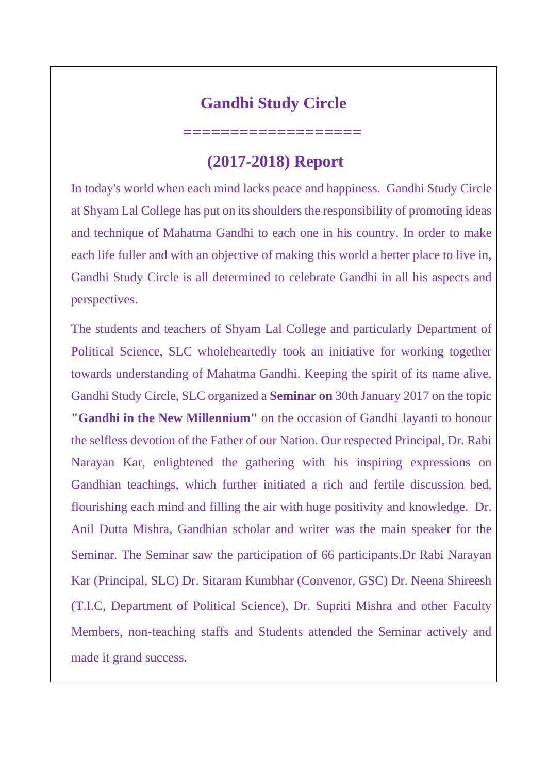## **Gandhi Study Circle**

**========================** 

## **(2017-2018) Report**

In today's world when each mind lacks peace and happiness. Gandhi Study Circle at Shyam Lal College has put on its shoulders the responsibility of promoting ideas and technique of Mahatma Gandhi to each one in his country. In order to make each life fuller and with an objective of making this world a better place to live in, Gandhi Study Circle is all determined to celebrate Gandhi in all his aspects and perspectives.

The students and teachers of Shyam Lal College and particularly Department of Political Science, SLC wholeheartedly took an initiative for working together towards understanding of Mahatma Gandhi. Keeping the spirit of its name alive, Gandhi Study Circle, SLC organized a **Seminar on** 30th January 2017 on the topic **"Gandhi in the New Millennium"** on the occasion of Gandhi Jayanti to honour the selfless devotion of the Father of our Nation. Our respected Principal, Dr. Rabi Narayan Kar, enlightened the gathering with his inspiring expressions on Gandhian teachings, which further initiated a rich and fertile discussion bed, flourishing each mind and filling the air with huge positivity and knowledge. Dr. Anil Dutta Mishra, Gandhian scholar and writer was the main speaker for the Seminar. The Seminar saw the participation of 66 participants.Dr Rabi Narayan Kar (Principal, SLC) Dr. Sitaram Kumbhar (Convenor, GSC) Dr. Neena Shireesh (T.I.C, Department of Political Science), Dr. Supriti Mishra and other Faculty Members, non-teaching staffs and Students attended the Seminar actively and made it grand success.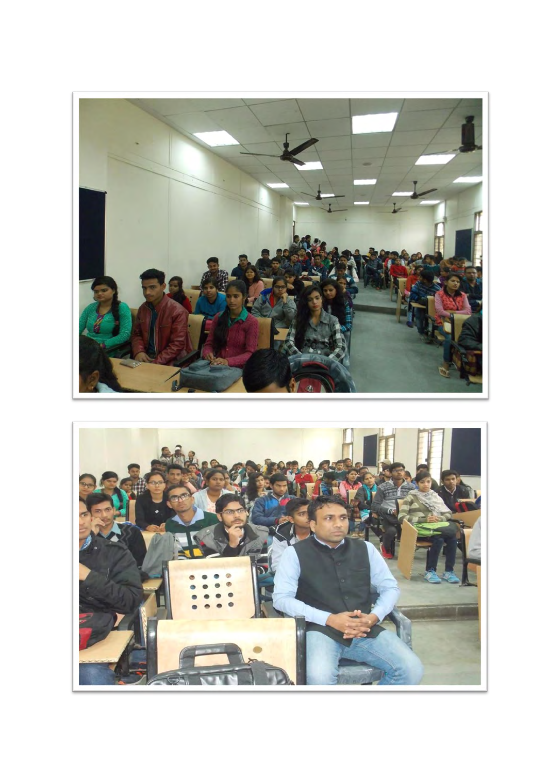

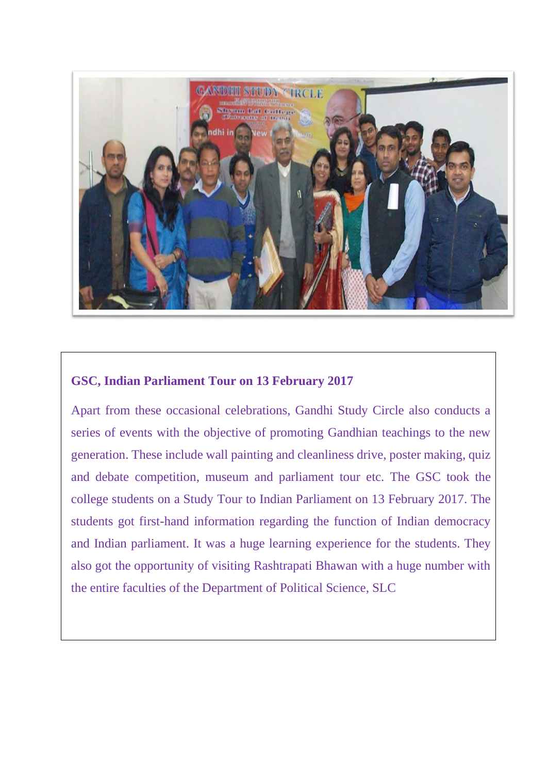

## **GSC, Indian Parliament Tour on 13 February 2017**

Apart from these occasional celebrations, Gandhi Study Circle also conducts a series of events with the objective of promoting Gandhian teachings to the new generation. These include wall painting and cleanliness drive, poster making, quiz and debate competition, museum and parliament tour etc. The GSC took the college students on a Study Tour to Indian Parliament on 13 February 2017. The students got first-hand information regarding the function of Indian democracy and Indian parliament. It was a huge learning experience for the students. They also got the opportunity of visiting Rashtrapati Bhawan with a huge number with the entire faculties of the Department of Political Science, SLC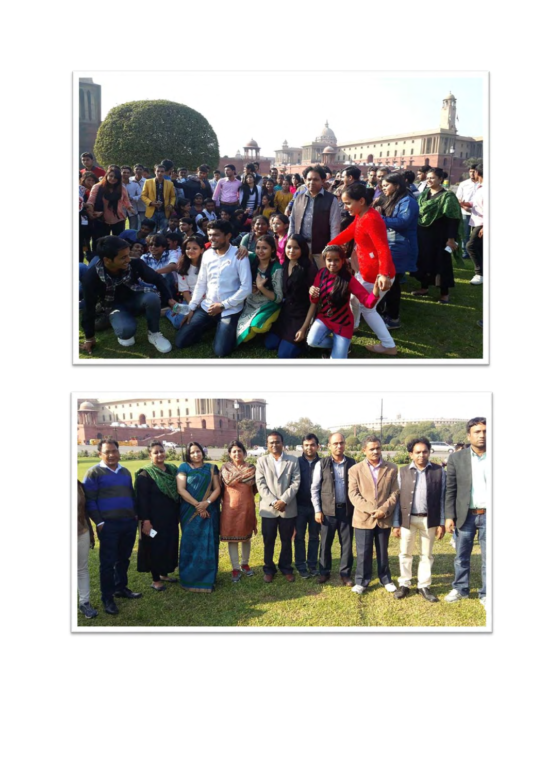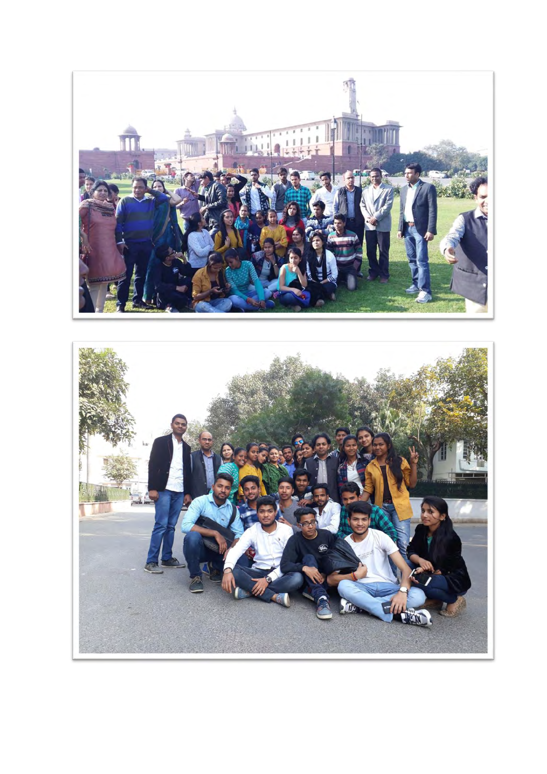